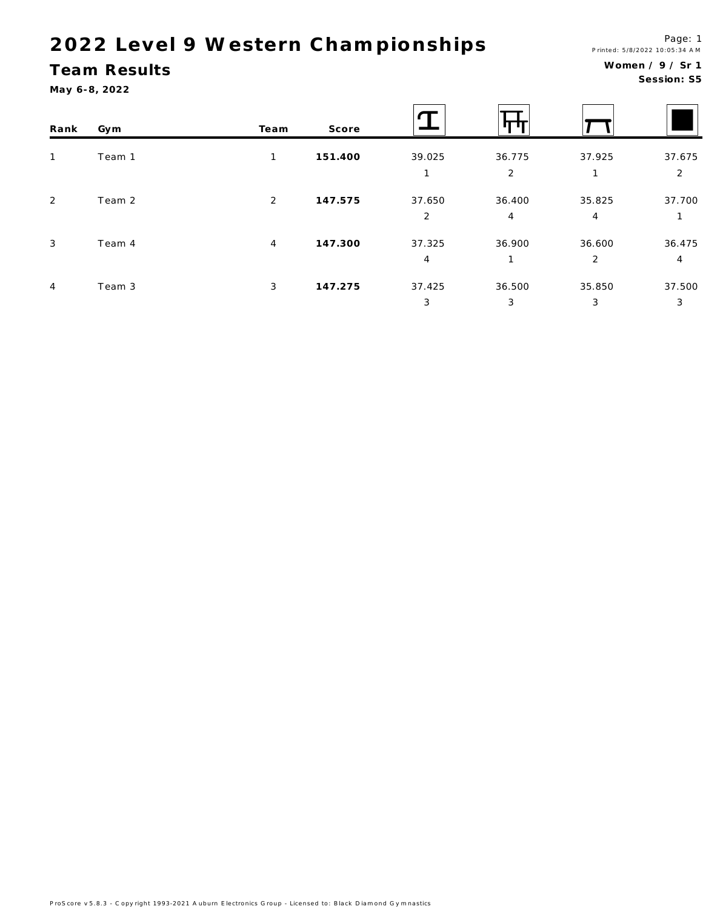#### Team Results

May 6-8, 2022

Session: S5

| Rank         | Gym    | Team           | Score   |             |             |                          |             |
|--------------|--------|----------------|---------|-------------|-------------|--------------------------|-------------|
| $\mathbf{1}$ | Team 1 | $\mathbf{1}$   | 151.400 | 39.025      | 36.775<br>2 | 37.925                   | 37.675<br>2 |
| 2            | Team 2 | $\overline{2}$ | 147.575 | 37.650<br>2 | 36.400<br>4 | 35.825<br>4              | 37.700      |
| $\mathbf{3}$ | Team 4 | $\overline{4}$ | 147.300 | 37.325<br>4 | 36.900      | 36.600<br>$\overline{2}$ | 36.475<br>4 |
| 4            | Team 3 | 3              | 147.275 | 37.425<br>3 | 36.500<br>3 | 35.850<br>3              | 37.500<br>3 |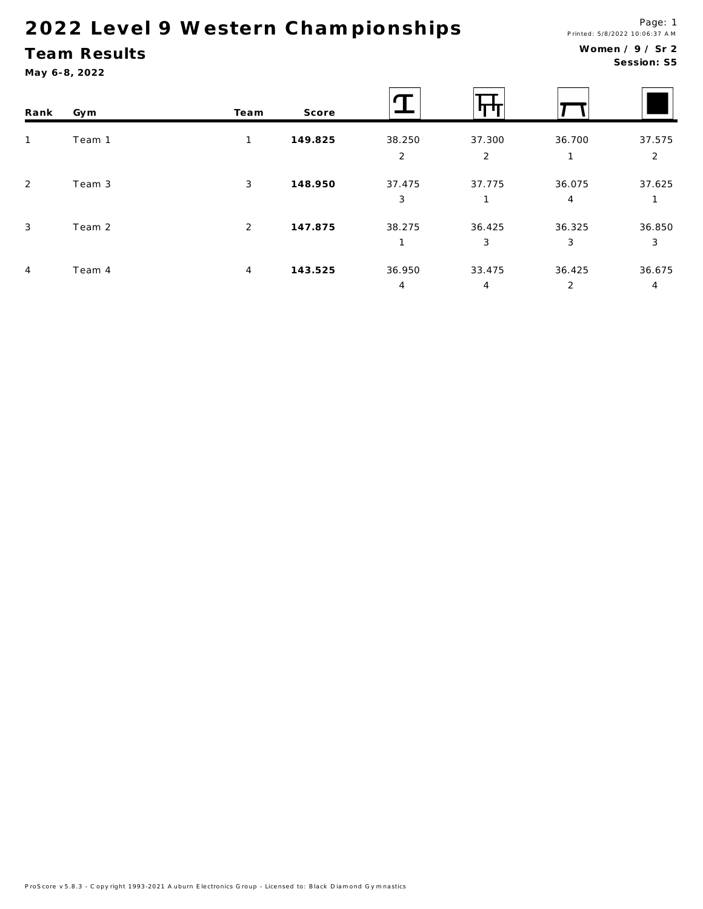## Team Results

May 6-8, 2022

#### Women / 9 / Sr 2 Session: S5

| Rank           | Gym    | Team           | Score   |             |                          |             |                          |
|----------------|--------|----------------|---------|-------------|--------------------------|-------------|--------------------------|
| $\overline{1}$ | Team 1 | $\mathbf{1}$   | 149.825 | 38.250<br>2 | 37.300<br>$\overline{2}$ | 36.700<br>1 | 37.575<br>$\overline{2}$ |
| 2              | Team 3 | 3              | 148.950 | 37.475<br>3 | 37.775                   | 36.075<br>4 | 37.625                   |
| 3              | Team 2 | 2              | 147.875 | 38.275      | 36.425<br>3              | 36.325<br>3 | 36.850<br>3              |
| $\overline{4}$ | Team 4 | $\overline{4}$ | 143.525 | 36.950<br>4 | 33.475<br>4              | 36.425<br>2 | 36.675<br>4              |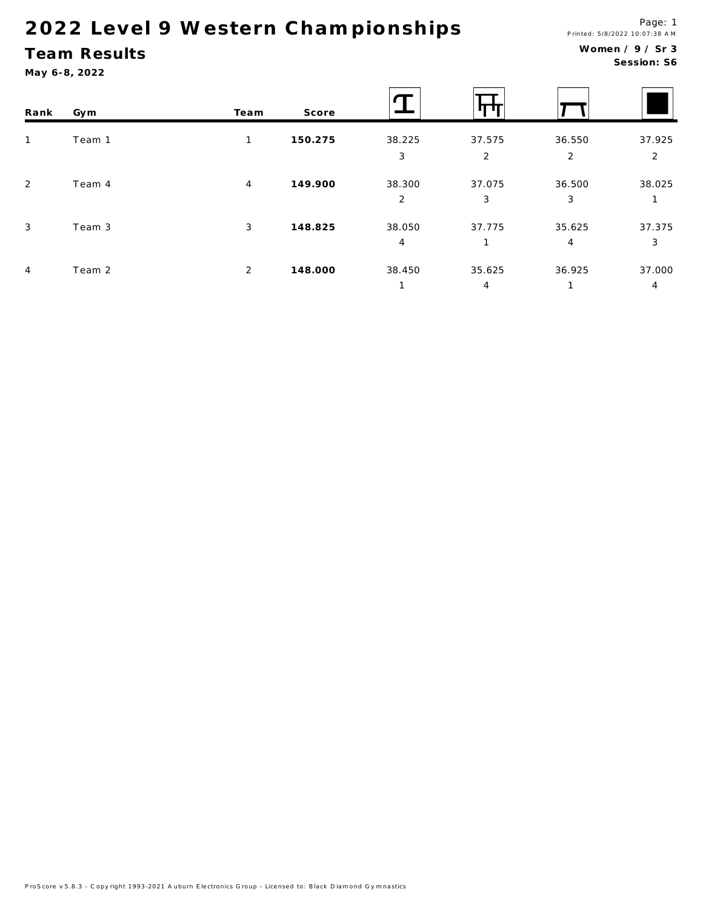## Team Results

May 6-8, 2022

#### Women / 9 / Sr 3 Session: S6

| Rank         | Gym    | Team           | Score   |        |        |                |                |
|--------------|--------|----------------|---------|--------|--------|----------------|----------------|
| $\mathbf{1}$ | Team 1 | 1              | 150.275 | 38.225 | 37.575 | 36.550         | 37.925         |
|              |        |                |         | 3      | 2      | $\overline{2}$ | $\overline{2}$ |
| 2            | Team 4 | $\overline{4}$ | 149.900 | 38.300 | 37.075 | 36.500         | 38.025         |
|              |        |                |         | 2      | 3      | 3              | 1              |
| $\mathbf{3}$ | Team 3 | $\mathbf{3}$   | 148.825 | 38.050 | 37.775 | 35.625         | 37.375         |
|              |        |                |         | 4      |        | $\overline{4}$ | 3              |
| 4            | Team 2 | 2              | 148.000 | 38.450 | 35.625 | 36.925         | 37.000         |
|              |        |                |         |        | 4      |                | $\overline{4}$ |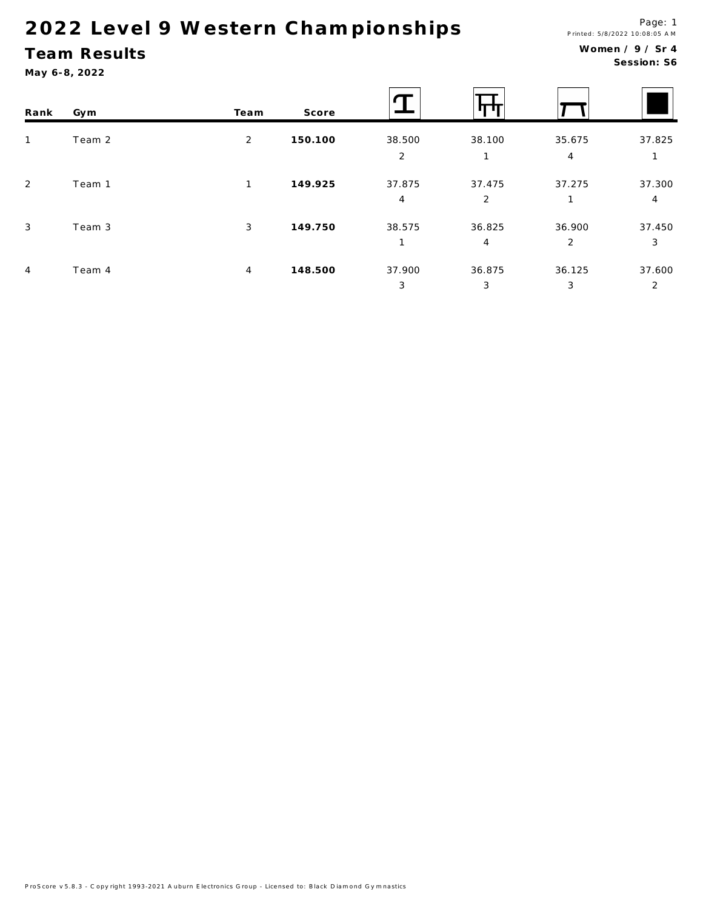## Team Results

May 6-8, 2022

#### Women / 9 / Sr 4 Session: S6

| Rank           | Gym    | Team           | Score   |                |                |                |        |
|----------------|--------|----------------|---------|----------------|----------------|----------------|--------|
| $\mathbf{1}$   | Team 2 | 2              | 150.100 | 38.500         | 38.100         | 35.675         | 37.825 |
|                |        |                |         | 2              |                | $\overline{4}$ |        |
| 2              | Team 1 | $\mathbf{1}$   | 149.925 | 37.875         | 37.475         | 37.275         | 37.300 |
|                |        |                |         | $\overline{4}$ | 2              | 1              | 4      |
| $\mathbf{3}$   | Team 3 | 3              | 149.750 | 38.575         | 36.825         | 36.900         | 37.450 |
|                |        |                |         |                | $\overline{4}$ | 2              | 3      |
| $\overline{4}$ | Team 4 | $\overline{4}$ | 148.500 | 37.900         | 36.875         | 36.125         | 37.600 |
|                |        |                |         | 3              | 3              | 3              | 2      |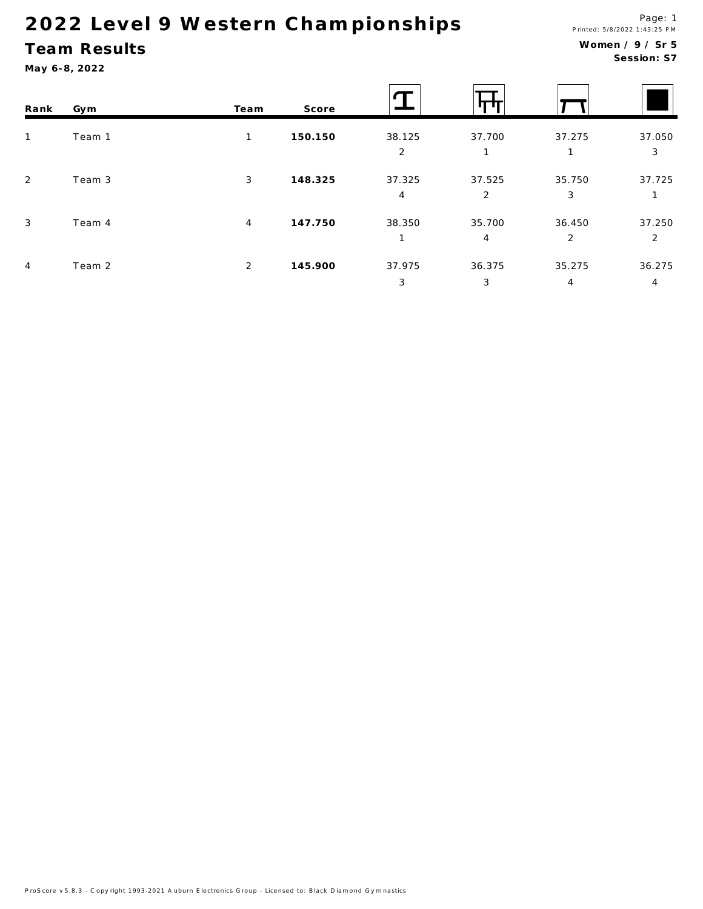#### **Team Results**

May 6-8, 2022

#### Women / 9 / Sr 5 Session: S7

| Rank           | Gym    | Team           | Score   |             |             |                          |             |
|----------------|--------|----------------|---------|-------------|-------------|--------------------------|-------------|
| $\mathbf{1}$   | Team 1 | $\mathbf{1}$   | 150.150 | 38.125<br>2 | 37.700      | 37.275<br>1              | 37.050<br>3 |
| 2              | Team 3 | $\mathbf{3}$   | 148.325 | 37.325<br>4 | 37.525<br>2 | 35.750<br>3              | 37.725      |
| 3              | Team 4 | $\overline{4}$ | 147.750 | 38.350<br>1 | 35.700<br>4 | 36.450<br>$\overline{2}$ | 37.250<br>2 |
| $\overline{4}$ | Team 2 | 2              | 145.900 | 37.975<br>3 | 36.375<br>3 | 35.275<br>4              | 36.275<br>4 |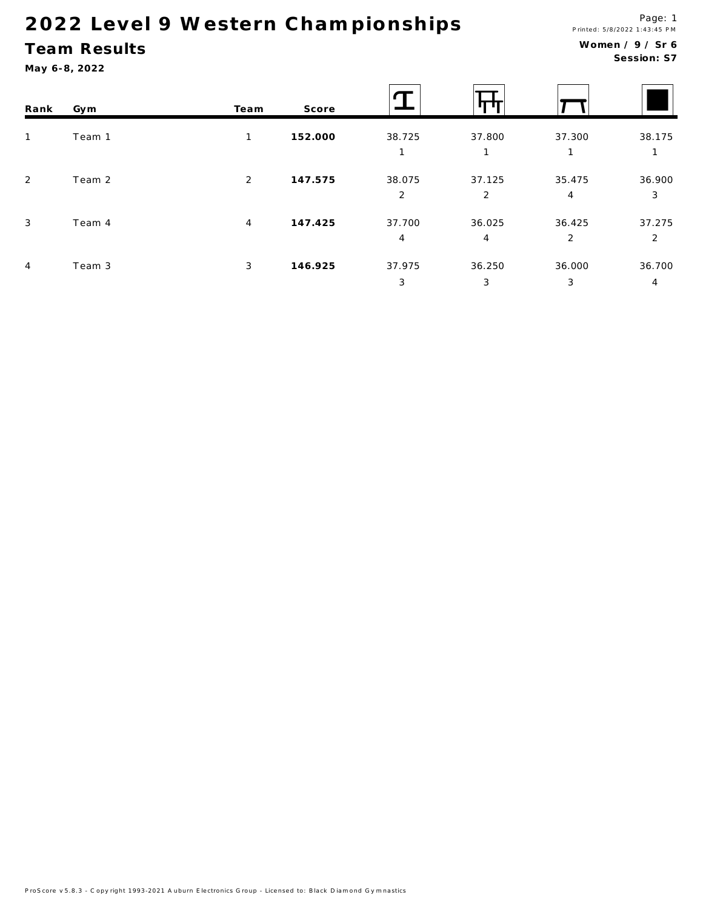#### **Team Results**

May 6-8, 2022

#### Women / 9 / Sr 6 Session: S7

| Rank           | Gym    | Team           | Score   |             |             |                          |             |
|----------------|--------|----------------|---------|-------------|-------------|--------------------------|-------------|
| $\mathbf{1}$   | Team 1 | 1              | 152.000 | 38.725      | 37.800      | 37.300                   | 38.175      |
| 2              | Team 2 | 2              | 147.575 | 38.075<br>2 | 37.125<br>2 | 35.475<br>$\overline{4}$ | 36.900<br>3 |
| $\mathbf{3}$   | Team 4 | $\overline{4}$ | 147.425 | 37.700<br>4 | 36.025<br>4 | 36.425<br>$\overline{2}$ | 37.275<br>2 |
| $\overline{4}$ | Team 3 | 3              | 146.925 | 37.975<br>3 | 36.250<br>3 | 36.000<br>3              | 36.700<br>4 |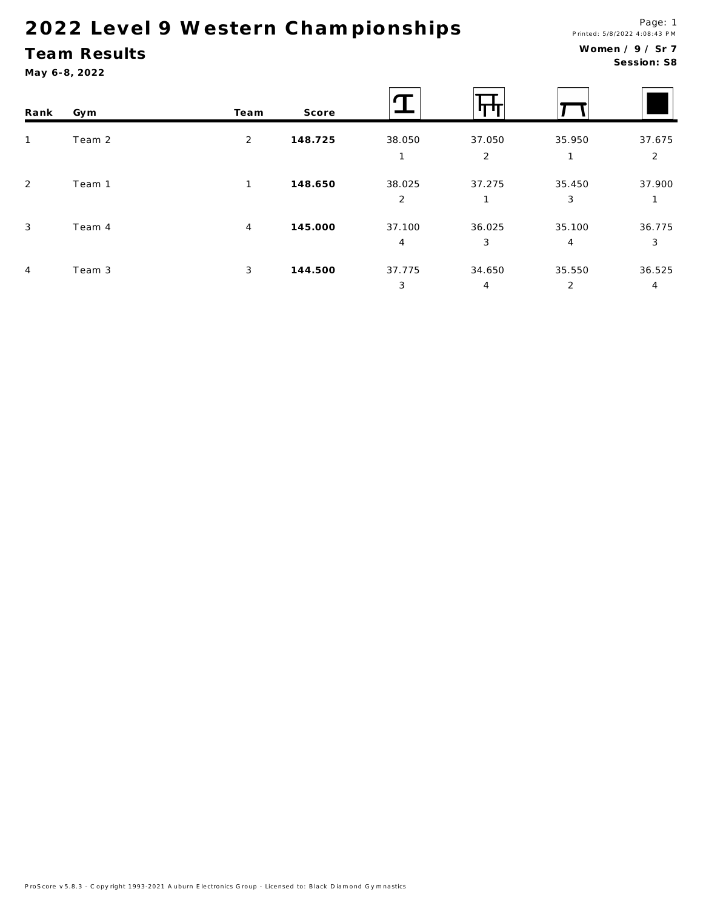## Team Results

May 6-8, 2022

 $\overline{4}$ 

 $\mathbf T$ τ Rank Gym Team Score Team 2  $\overline{2}$ 148.725 38.050 37.050 35.950 37.675  $\mathbf{1}$  $\overline{2}$  $\overline{2}$  $\mathbf{1}$  $\mathbf{1}$  $\overline{2}$ Team 1 38.025 37.275 35.450 37.900  $\mathbf 1$ 148.650  $\overline{2}$  $\mathbf{3}$  $\mathbf{1}$  $\mathbf{1}$ Team 4 145.000 37.100 36.025 35.100 36.775  $\sqrt{3}$  $\overline{4}$  $\overline{4}$  $\mathbf{3}$  $\overline{4}$  $\mathbf{3}$  $\sqrt{4}$ Team 3  $\mathbf{3}$ 144.500 37.775 34.650 35.550 36.525

 $\mathbf{3}$ 

 $\overline{4}$ 

 $\overline{2}$